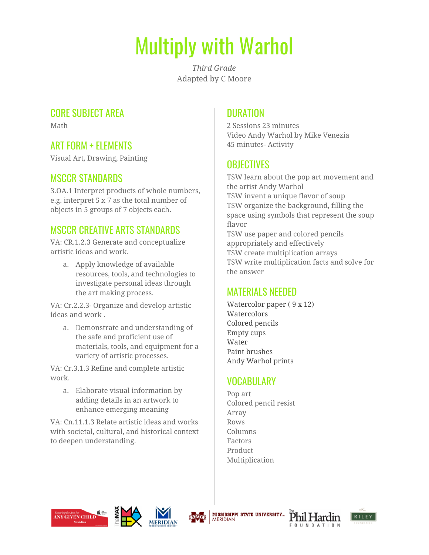# Multiply with Warhol

*Third Grade* Adapted by C Moore

### CORE SUBJECT AREA

Math

# ART FORM + ELEMENTS

Visual Art, Drawing, Painting

#### MSCCR STANDARDS

3.OA.1 Interpret products of whole numbers, e.g. interpret 5 x 7 as the total number of objects in 5 groups of 7 objects each.

#### MSCCR CREATIVE ARTS STANDARDS

VA: CR.1.2.3 Generate and conceptualize artistic ideas and work.

a. Apply knowledge of available resources, tools, and technologies to investigate personal ideas through the art making process.

VA: Cr.2.2.3- Organize and develop artistic ideas and work .

a. Demonstrate and understanding of the safe and proficient use of materials, tools, and equipment for a variety of artistic processes.

VA: Cr.3.1.3 Refine and complete artistic work.

a. Elaborate visual information by adding details in an artwork to enhance emerging meaning

VA: Cn.11.1.3 Relate artistic ideas and works with societal, cultural, and historical context to deepen understanding.

#### **DURATION**

2 Sessions 23 minutes Video Andy Warhol by Mike Venezia 45 minutes- Activity

# **OBJECTIVES**

TSW learn about the pop art movement and the artist Andy Warhol TSW invent a unique flavor of soup TSW organize the background, filling the space using symbols that represent the soup flavor TSW use paper and colored pencils appropriately and effectively TSW create multiplication arrays TSW write multiplication facts and solve for the answer

#### MATERIALS NEEDED

Watercolor paper ( 9 x 12) **Watercolors** Colored pencils Empty cups Water Paint brushes Andy Warhol prints

#### VOCABULARY

Pop art Colored pencil resist Array Rows Columns Factors Product Multiplication











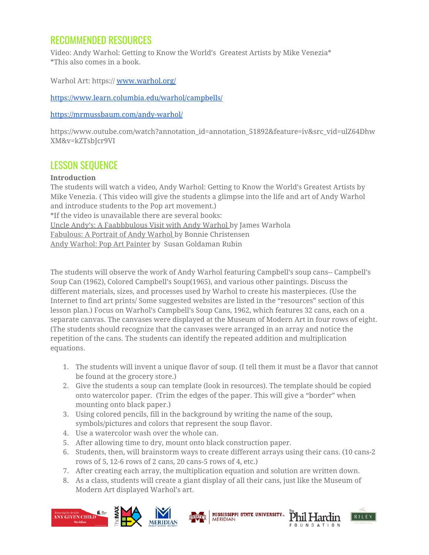### RECOMMENDED RESOURCES

Video: Andy Warhol: Getting to Know the World's Greatest Artists by Mike Venezia\* \*This also comes in a book.

Warhol Art: https:// [www.warhol.org/](http://www.warhol.org/)

[https://www.learn.columbia.edu/warhol/campbells/](http://www.learn.columbia.edu/warhol/campbells/)

<https://mrmussbaum.com/andy-warhol/>

https://www.outube.com/watch?annotation\_id=annotation\_51892&feature=iv&src\_vid=ulZ64Dhw XM&v=kZTsbJcr9VI

#### LESSON SEQUENCE

#### **Introduction**

The students will watch a video, Andy Warhol: Getting to Know the World's Greatest Artists by Mike Venezia. ( This video will give the students a glimpse into the life and art of Andy Warhol and introduce students to the Pop art movement.) \*If the video is unavailable there are several books: Uncle Andy's: A Faabbbulous Visit with Andy Warhol by James Warhola Fabulous: A Portrait of Andy Warhol by Bonnie Christensen Andy Warhol: Pop Art Painter by Susan Goldaman Rubin

The students will observe the work of Andy Warhol featuring Campbell's soup cans-- Campbell's Soup Can (1962), Colored Campbell's Soup(1965), and various other paintings. Discuss the different materials, sizes, and processes used by Warhol to create his masterpieces. (Use the Internet to find art prints/ Some suggested websites are listed in the "resources" section of this lesson plan.) Focus on Warhol's Campbell's Soup Cans, 1962, which features 32 cans, each on a separate canvas. The canvases were displayed at the Museum of Modern Art in four rows of eight. (The students should recognize that the canvases were arranged in an array and notice the repetition of the cans. The students can identify the repeated addition and multiplication equations.

- 1. The students will invent a unique flavor of soup. (I tell them it must be a flavor that cannot be found at the grocery store.)
- 2. Give the students a soup can template (look in resources). The template should be copied onto watercolor paper. (Trim the edges of the paper. This will give a "border" when mounting onto black paper.)
- 3. Using colored pencils, fill in the background by writing the name of the soup, symbols/pictures and colors that represent the soup flavor.
- 4. Use a watercolor wash over the whole can.
- 5. After allowing time to dry, mount onto black construction paper.
- 6. Students, then, will brainstorm ways to create different arrays using their cans. (10 cans-2 rows of 5, 12-6 rows of 2 cans, 20 cans-5 rows of 4, etc.)

**MERIDIAN** 

**MISSISSIPPI STATE UNIVERSITY...** 

- 7. After creating each array, the multiplication equation and solution are written down.
- 8. As a class, students will create a giant display of all their cans, just like the Museum of Modern Art displayed Warhol's art.